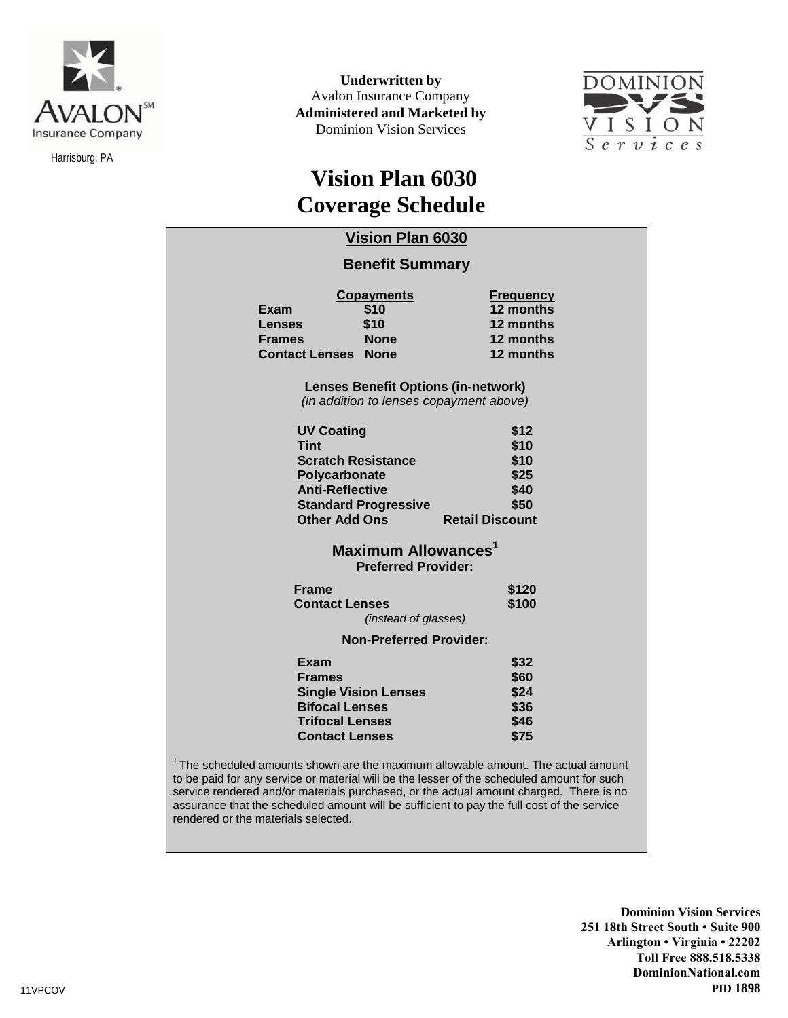

Harrisburg, PA

**Underwritten by** Avalon Insurance Company **Administered and Marketed by** Dominion Vision Services



## **Vision Plan 6030 Coverage Schedule**

|                                                                                                                                                                 | <b>Vision Plan 6030</b><br><b>Benefit Summary</b>                                                       |                                                                                                                                                                                                                                                                                                                                                                                    |
|-----------------------------------------------------------------------------------------------------------------------------------------------------------------|---------------------------------------------------------------------------------------------------------|------------------------------------------------------------------------------------------------------------------------------------------------------------------------------------------------------------------------------------------------------------------------------------------------------------------------------------------------------------------------------------|
| Exam<br>Lenses<br><b>Frames</b><br><b>Contact Lenses</b>                                                                                                        | <b>Copayments</b><br>\$10<br>\$10<br><b>None</b><br><b>None</b>                                         | <b>Frequency</b><br>12 months<br>12 months<br>12 months<br>12 months                                                                                                                                                                                                                                                                                                               |
|                                                                                                                                                                 | <b>Lenses Benefit Options (in-network)</b><br>(in addition to lenses copayment above)                   |                                                                                                                                                                                                                                                                                                                                                                                    |
| <b>UV Coating</b><br><b>Tint</b><br><b>Scratch Resistance</b><br>Polycarbonate<br><b>Anti-Reflective</b><br><b>Standard Progressive</b><br><b>Other Add Ons</b> |                                                                                                         | \$12<br>\$10<br>\$10<br>\$25<br>\$40<br>\$50<br><b>Retail Discount</b>                                                                                                                                                                                                                                                                                                             |
|                                                                                                                                                                 | <b>Maximum Allowances</b> <sup>1</sup><br><b>Preferred Provider:</b>                                    |                                                                                                                                                                                                                                                                                                                                                                                    |
| <b>Frame</b><br><b>Contact Lenses</b><br><i>(instead of glasses)</i>                                                                                            |                                                                                                         | \$120<br>\$100                                                                                                                                                                                                                                                                                                                                                                     |
| <b>Non-Preferred Provider:</b>                                                                                                                                  |                                                                                                         |                                                                                                                                                                                                                                                                                                                                                                                    |
| Exam<br><b>Frames</b>                                                                                                                                           | <b>Single Vision Lenses</b><br><b>Bifocal Lenses</b><br><b>Trifocal Lenses</b><br><b>Contact Lenses</b> | \$32<br>\$60<br>\$24<br>\$36<br>\$46<br>\$75                                                                                                                                                                                                                                                                                                                                       |
| rendered or the materials selected.                                                                                                                             |                                                                                                         | <sup>1</sup> The scheduled amounts shown are the maximum allowable amount. The actual amount<br>to be paid for any service or material will be the lesser of the scheduled amount for such<br>service rendered and/or materials purchased, or the actual amount charged. There is no<br>assurance that the scheduled amount will be sufficient to pay the full cost of the service |

**Dominion Vision Services 251 18th Street South • Suite 900 Arlington • Virginia • 22202 Toll Free 888.518.5338 DominionNational.com**  11VPCOV **PID 1898**